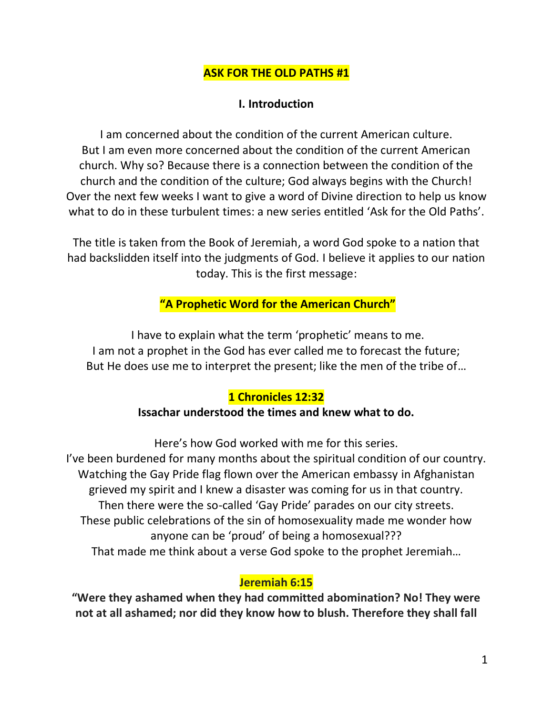### **ASK FOR THE OLD PATHS #1**

#### **I. Introduction**

I am concerned about the condition of the current American culture. But I am even more concerned about the condition of the current American church. Why so? Because there is a connection between the condition of the church and the condition of the culture; God always begins with the Church! Over the next few weeks I want to give a word of Divine direction to help us know what to do in these turbulent times: a new series entitled 'Ask for the Old Paths'.

The title is taken from the Book of Jeremiah, a word God spoke to a nation that had backslidden itself into the judgments of God. I believe it applies to our nation today. This is the first message:

## **"A Prophetic Word for the American Church"**

I have to explain what the term 'prophetic' means to me. I am not a prophet in the God has ever called me to forecast the future; But He does use me to interpret the present; like the men of the tribe of…

#### **1 Chronicles 12:32**

#### **Issachar understood the times and knew what to do.**

Here's how God worked with me for this series.

I've been burdened for many months about the spiritual condition of our country. Watching the Gay Pride flag flown over the American embassy in Afghanistan grieved my spirit and I knew a disaster was coming for us in that country. Then there were the so-called 'Gay Pride' parades on our city streets. These public celebrations of the sin of homosexuality made me wonder how anyone can be 'proud' of being a homosexual??? That made me think about a verse God spoke to the prophet Jeremiah…

#### **Jeremiah 6:15**

**"Were they ashamed when they had committed abomination? No! They were not at all ashamed; nor did they know how to blush. Therefore they shall fall**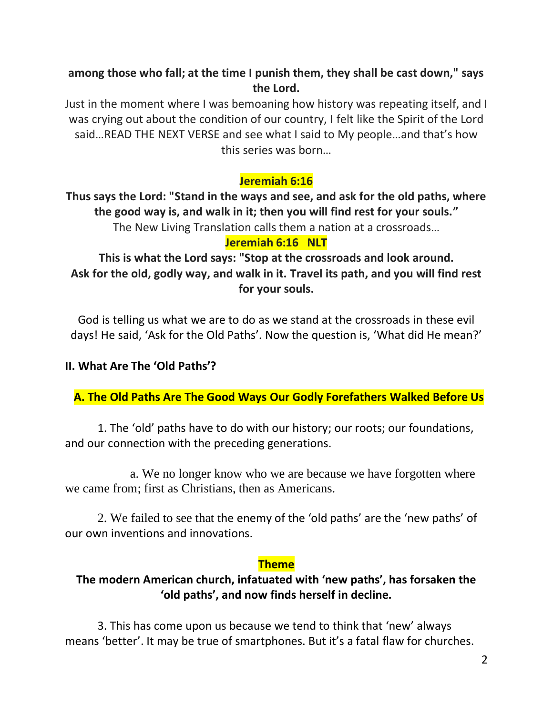## **among those who fall; at the time I punish them, they shall be cast down," says the Lord.**

Just in the moment where I was bemoaning how history was repeating itself, and I was crying out about the condition of our country, I felt like the Spirit of the Lord said…READ THE NEXT VERSE and see what I said to My people…and that's how this series was born…

# **Jeremiah 6:16**

**Thus says the Lord: "Stand in the ways and see, and ask for the old paths, where the good way is, and walk in it; then you will find rest for your souls."** The New Living Translation calls them a nation at a crossroads… **Jeremiah 6:16 NLT**

**This is what the Lord says: "Stop at the crossroads and look around. Ask for the old, godly way, and walk in it. Travel its path, and you will find rest for your souls.**

God is telling us what we are to do as we stand at the crossroads in these evil days! He said, 'Ask for the Old Paths'. Now the question is, 'What did He mean?'

#### **II. What Are The 'Old Paths'?**

 **A. The Old Paths Are The Good Ways Our Godly Forefathers Walked Before Us**

1. The 'old' paths have to do with our history; our roots; our foundations, and our connection with the preceding generations.

a. We no longer know who we are because we have forgotten where we came from; first as Christians, then as Americans.

2. We failed to see that the enemy of the 'old paths' are the 'new paths' of our own inventions and innovations.

#### **Theme**

## **The modern American church, infatuated with 'new paths', has forsaken the 'old paths', and now finds herself in decline.**

3. This has come upon us because we tend to think that 'new' always means 'better'. It may be true of smartphones. But it's a fatal flaw for churches.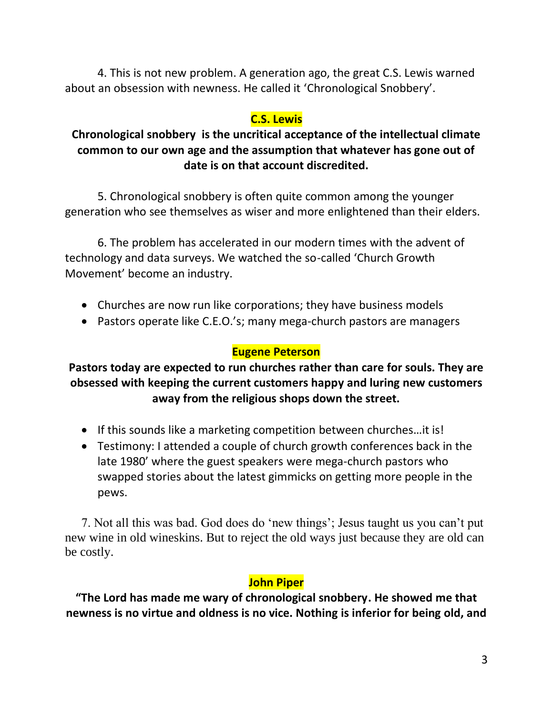4. This is not new problem. A generation ago, the great C.S. Lewis warned about an obsession with newness. He called it 'Chronological Snobbery'.

### **C.S. Lewis**

## **Chronological snobbery is the uncritical acceptance of the intellectual climate common to our own age and the assumption that whatever has gone out of date is on that account discredited.**

5. Chronological snobbery is often quite common among the younger generation who see themselves as wiser and more enlightened than their elders.

6. The problem has accelerated in our modern times with the advent of technology and data surveys. We watched the so-called 'Church Growth Movement' become an industry.

- Churches are now run like corporations; they have business models
- Pastors operate like C.E.O.'s; many mega-church pastors are managers

## **Eugene Peterson**

**Pastors today are expected to run churches rather than care for souls. They are obsessed with keeping the current customers happy and luring new customers away from the religious shops down the street.**

- If this sounds like a marketing competition between churches…it is!
- Testimony: I attended a couple of church growth conferences back in the late 1980' where the guest speakers were mega-church pastors who swapped stories about the latest gimmicks on getting more people in the pews.

7. Not all this was bad. God does do 'new things'; Jesus taught us you can't put new wine in old wineskins. But to reject the old ways just because they are old can be costly.

## **John Piper**

**"The Lord has made me wary of chronological snobbery. He showed me that newness is no virtue and oldness is no vice. Nothing is inferior for being old, and**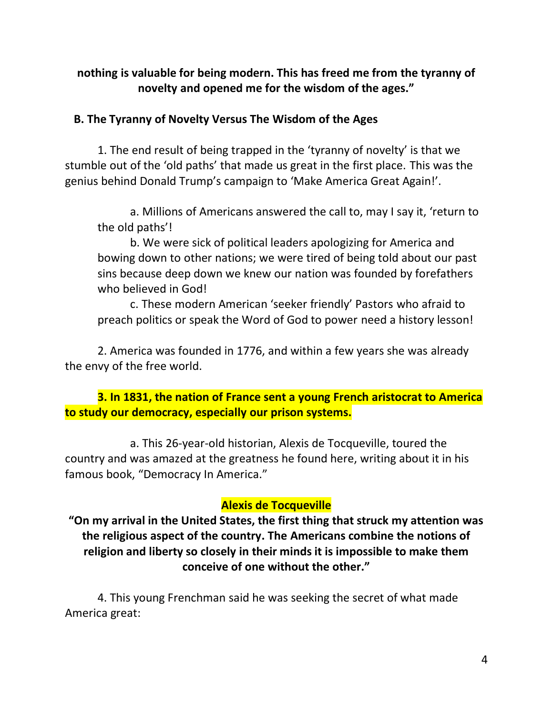**nothing is valuable for being modern. This has freed me from the tyranny of novelty and opened me for the wisdom of the ages."**

#### **B. The Tyranny of Novelty Versus The Wisdom of the Ages**

1. The end result of being trapped in the 'tyranny of novelty' is that we stumble out of the 'old paths' that made us great in the first place. This was the genius behind Donald Trump's campaign to 'Make America Great Again!'.

a. Millions of Americans answered the call to, may I say it, 'return to the old paths'!

b. We were sick of political leaders apologizing for America and bowing down to other nations; we were tired of being told about our past sins because deep down we knew our nation was founded by forefathers who believed in God!

c. These modern American 'seeker friendly' Pastors who afraid to preach politics or speak the Word of God to power need a history lesson!

2. America was founded in 1776, and within a few years she was already the envy of the free world.

**3. In 1831, the nation of France sent a young French aristocrat to America to study our democracy, especially our prison systems.**

a. This 26-year-old historian, Alexis de Tocqueville, toured the country and was amazed at the greatness he found here, writing about it in his famous book, "Democracy In America."

#### **Alexis de Tocqueville**

**"On my arrival in the United States, the first thing that struck my attention was the religious aspect of the country. The Americans combine the notions of religion and liberty so closely in their minds it is impossible to make them conceive of one without the other."**

4. This young Frenchman said he was seeking the secret of what made America great: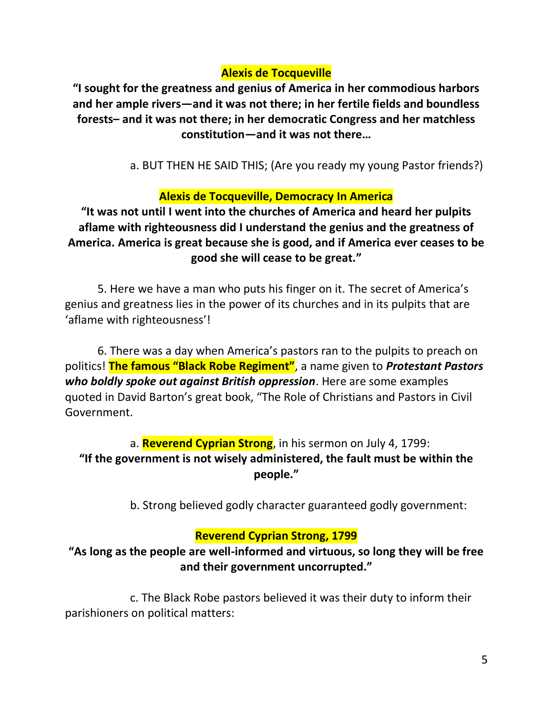## **Alexis de Tocqueville**

**"I sought for the greatness and genius of America in her commodious harbors and her ample rivers—and it was not there; in her fertile fields and boundless forests– and it was not there; in her democratic Congress and her matchless constitution—and it was not there…**

a. BUT THEN HE SAID THIS; (Are you ready my young Pastor friends?)

### **Alexis de Tocqueville, Democracy In America**

**"It was not until I went into the churches of America and heard her pulpits aflame with righteousness did I understand the genius and the greatness of America. America is great because she is good, and if America ever ceases to be good she will cease to be great."**

5. Here we have a man who puts his finger on it. The secret of America's genius and greatness lies in the power of its churches and in its pulpits that are 'aflame with righteousness'!

6. There was a day when America's pastors ran to the pulpits to preach on politics! **The famous "Black Robe Regiment"**, a name given to *Protestant Pastors who boldly spoke out against British oppression*. Here are some examples quoted in David Barton's great book, "The Role of Christians and Pastors in Civil Government.

# a. **Reverend Cyprian Strong**, in his sermon on July 4, 1799: **"If the government is not wisely administered, the fault must be within the people."**

b. Strong believed godly character guaranteed godly government:

#### **Reverend Cyprian Strong, 1799**

**"As long as the people are well-informed and virtuous, so long they will be free and their government uncorrupted."**

c. The Black Robe pastors believed it was their duty to inform their parishioners on political matters: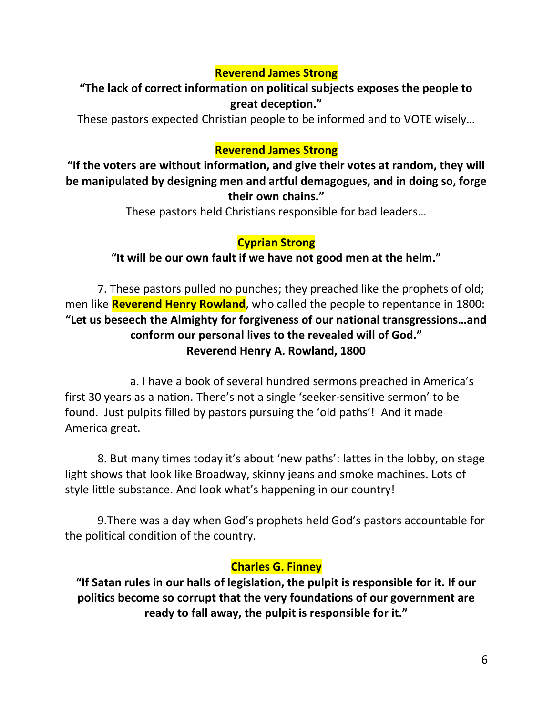### **Reverend James Strong**

## **"The lack of correct information on political subjects exposes the people to great deception."**

These pastors expected Christian people to be informed and to VOTE wisely…

### **Reverend James Strong**

**"If the voters are without information, and give their votes at random, they will be manipulated by designing men and artful demagogues, and in doing so, forge their own chains."**

These pastors held Christians responsible for bad leaders…

## **Cyprian Strong**

**"It will be our own fault if we have not good men at the helm."**

7. These pastors pulled no punches; they preached like the prophets of old; men like **Reverend Henry Rowland**, who called the people to repentance in 1800: **"Let us beseech the Almighty for forgiveness of our national transgressions…and conform our personal lives to the revealed will of God." Reverend Henry A. Rowland, 1800**

a. I have a book of several hundred sermons preached in America's first 30 years as a nation. There's not a single 'seeker-sensitive sermon' to be found. Just pulpits filled by pastors pursuing the 'old paths'! And it made America great.

8. But many times today it's about 'new paths': lattes in the lobby, on stage light shows that look like Broadway, skinny jeans and smoke machines. Lots of style little substance. And look what's happening in our country!

9.There was a day when God's prophets held God's pastors accountable for the political condition of the country.

#### **Charles G. Finney**

**"If Satan rules in our halls of legislation, the pulpit is responsible for it. If our politics become so corrupt that the very foundations of our government are ready to fall away, the pulpit is responsible for it."**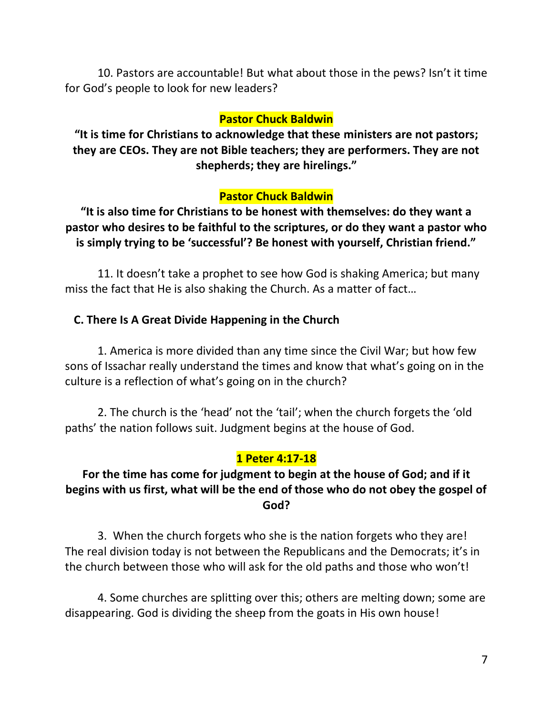10. Pastors are accountable! But what about those in the pews? Isn't it time for God's people to look for new leaders?

#### **Pastor Chuck Baldwin**

**"It is time for Christians to acknowledge that these ministers are not pastors; they are CEOs. They are not Bible teachers; they are performers. They are not shepherds; they are hirelings."**

#### **Pastor Chuck Baldwin**

**"It is also time for Christians to be honest with themselves: do they want a pastor who desires to be faithful to the scriptures, or do they want a pastor who is simply trying to be 'successful'? Be honest with yourself, Christian friend."**

11. It doesn't take a prophet to see how God is shaking America; but many miss the fact that He is also shaking the Church. As a matter of fact…

#### **C. There Is A Great Divide Happening in the Church**

1. America is more divided than any time since the Civil War; but how few sons of Issachar really understand the times and know that what's going on in the culture is a reflection of what's going on in the church?

2. The church is the 'head' not the 'tail'; when the church forgets the 'old paths' the nation follows suit. Judgment begins at the house of God.

#### **1 Peter 4:17-18**

## **For the time has come for judgment to begin at the house of God; and if it begins with us first, what will be the end of those who do not obey the gospel of God?**

3. When the church forgets who she is the nation forgets who they are! The real division today is not between the Republicans and the Democrats; it's in the church between those who will ask for the old paths and those who won't!

4. Some churches are splitting over this; others are melting down; some are disappearing. God is dividing the sheep from the goats in His own house!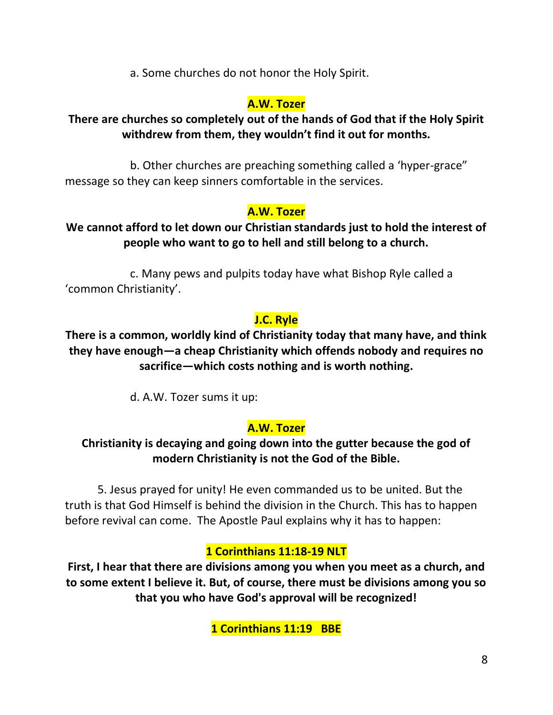a. Some churches do not honor the Holy Spirit.

## **A.W. Tozer**

## **There are churches so completely out of the hands of God that if the Holy Spirit withdrew from them, they wouldn't find it out for months.**

b. Other churches are preaching something called a 'hyper-grace" message so they can keep sinners comfortable in the services.

# **A.W. Tozer**

## **We cannot afford to let down our Christian standards just to hold the interest of people who want to go to hell and still belong to a church.**

c. Many pews and pulpits today have what Bishop Ryle called a 'common Christianity'.

# **J.C. Ryle**

**There is a common, worldly kind of Christianity today that many have, and think they have enough—a cheap Christianity which offends nobody and requires no sacrifice—which costs nothing and is worth nothing.**

d. A.W. Tozer sums it up:

# **A.W. Tozer**

# **Christianity is decaying and going down into the gutter because the god of modern Christianity is not the God of the Bible.**

5. Jesus prayed for unity! He even commanded us to be united. But the truth is that God Himself is behind the division in the Church. This has to happen before revival can come. The Apostle Paul explains why it has to happen:

# **1 Corinthians 11:18-19 NLT**

**First, I hear that there are divisions among you when you meet as a church, and to some extent I believe it. But, of course, there must be divisions among you so that you who have God's approval will be recognized!**

**1 Corinthians 11:19 BBE**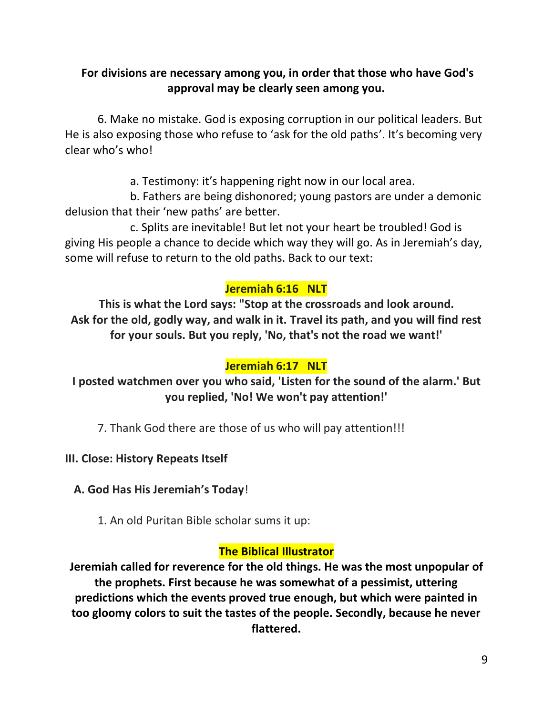## **For divisions are necessary among you, in order that those who have God's approval may be clearly seen among you.**

6. Make no mistake. God is exposing corruption in our political leaders. But He is also exposing those who refuse to 'ask for the old paths'. It's becoming very clear who's who!

a. Testimony: it's happening right now in our local area.

b. Fathers are being dishonored; young pastors are under a demonic delusion that their 'new paths' are better.

c. Splits are inevitable! But let not your heart be troubled! God is giving His people a chance to decide which way they will go. As in Jeremiah's day, some will refuse to return to the old paths. Back to our text:

## **Jeremiah 6:16 NLT**

**This is what the Lord says: "Stop at the crossroads and look around. Ask for the old, godly way, and walk in it. Travel its path, and you will find rest for your souls. But you reply, 'No, that's not the road we want!'**

## **Jeremiah 6:17 NLT**

**I posted watchmen over you who said, 'Listen for the sound of the alarm.' But you replied, 'No! We won't pay attention!'**

7. Thank God there are those of us who will pay attention!!!

#### **III. Close: History Repeats Itself**

 **A. God Has His Jeremiah's Today**!

1. An old Puritan Bible scholar sums it up:

#### **The Biblical Illustrator**

**Jeremiah called for reverence for the old things. He was the most unpopular of the prophets. First because he was somewhat of a pessimist, uttering predictions which the events proved true enough, but which were painted in too gloomy colors to suit the tastes of the people. Secondly, because he never flattered.**